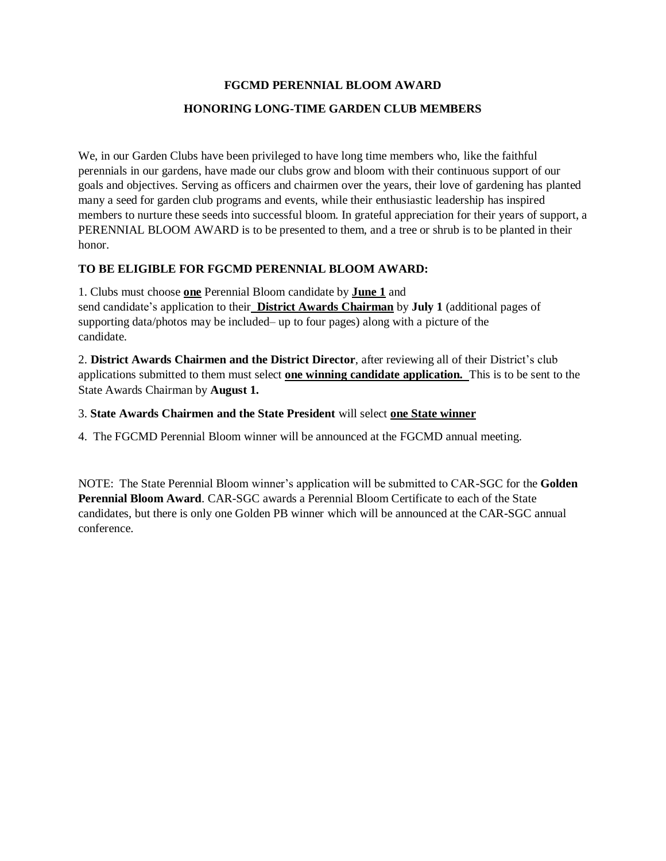#### **FGCMD PERENNIAL BLOOM AWARD**

#### **HONORING LONG-TIME GARDEN CLUB MEMBERS**

We, in our Garden Clubs have been privileged to have long time members who, like the faithful perennials in our gardens, have made our clubs grow and bloom with their continuous support of our goals and objectives. Serving as officers and chairmen over the years, their love of gardening has planted many a seed for garden club programs and events, while their enthusiastic leadership has inspired members to nurture these seeds into successful bloom. In grateful appreciation for their years of support, a PERENNIAL BLOOM AWARD is to be presented to them, and a tree or shrub is to be planted in their honor.

### **TO BE ELIGIBLE FOR FGCMD PERENNIAL BLOOM AWARD:**

1. Clubs must choose **one** Perennial Bloom candidate by **June 1** and send candidate's application to their **District Awards Chairman** by **July 1** (additional pages of supporting data/photos may be included– up to four pages) along with a picture of the candidate.

2. **District Awards Chairmen and the District Director**, after reviewing all of their District's club applications submitted to them must select **one winning candidate application.** This is to be sent to the State Awards Chairman by **August 1.**

#### 3. **State Awards Chairmen and the State President** will select **one State winner**

4. The FGCMD Perennial Bloom winner will be announced at the FGCMD annual meeting.

NOTE: The State Perennial Bloom winner's application will be submitted to CAR-SGC for the **Golden Perennial Bloom Award**. CAR-SGC awards a Perennial Bloom Certificate to each of the State candidates, but there is only one Golden PB winner which will be announced at the CAR-SGC annual conference.